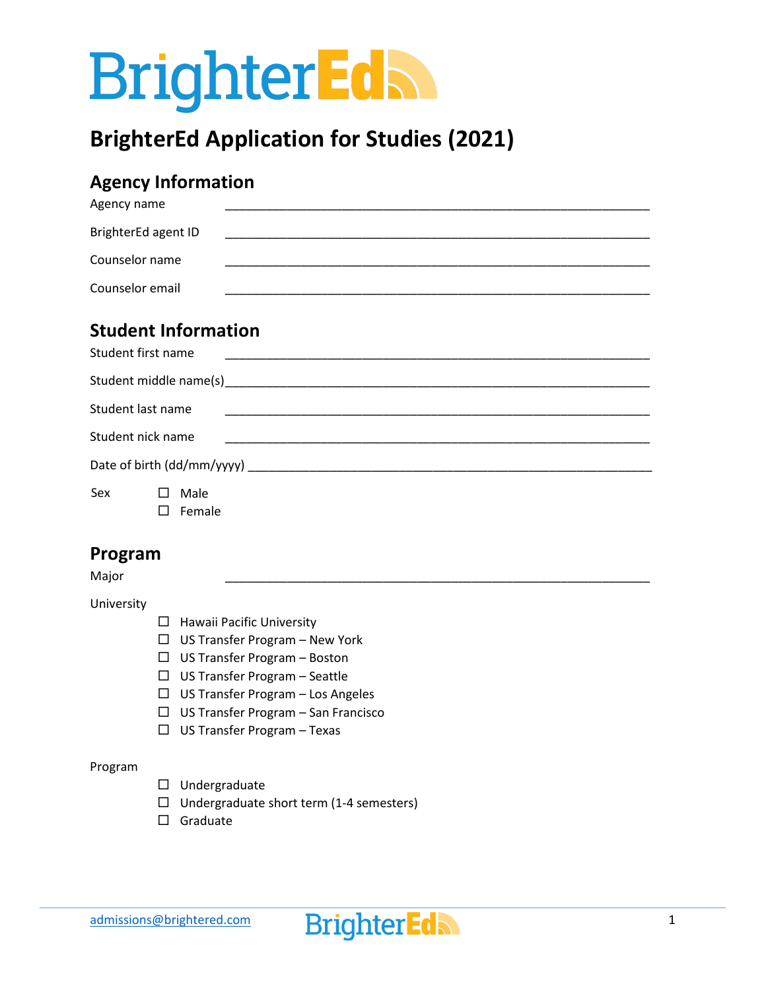# **BrighterEdh**

## **BrighterEd Application for Studies (2021)**

## **Agency Information**

| Agency name                |  |  |  |
|----------------------------|--|--|--|
| BrighterEd agent ID        |  |  |  |
| Counselor name             |  |  |  |
| Counselor email            |  |  |  |
| <b>Student Information</b> |  |  |  |
| Student first name         |  |  |  |

|     | Student last name | the control of the control of the control of the control of the control of the control of |  |  |
|-----|-------------------|-------------------------------------------------------------------------------------------|--|--|
|     | Student nick name |                                                                                           |  |  |
|     |                   |                                                                                           |  |  |
| Sex | Male<br>$\perp$   |                                                                                           |  |  |
|     | Female            |                                                                                           |  |  |

#### **Program**

Major \_\_\_\_\_\_\_\_\_\_\_\_\_\_\_\_\_\_\_\_\_\_\_\_\_\_\_\_\_\_\_\_\_\_\_\_\_\_\_\_\_\_\_\_\_\_\_\_\_\_\_\_\_\_\_\_\_\_\_\_\_\_

University

- $\Box$  Hawaii Pacific University
- $\Box$  US Transfer Program New York
- US Transfer Program Boston
- US Transfer Program Seattle
- $\Box$  US Transfer Program Los Angeles
- $\Box$  US Transfer Program San Francisco
- US Transfer Program Texas

#### Program

- $\square$  Undergraduate
- $\Box$  Undergraduate short term (1-4 semesters)
- □ Graduate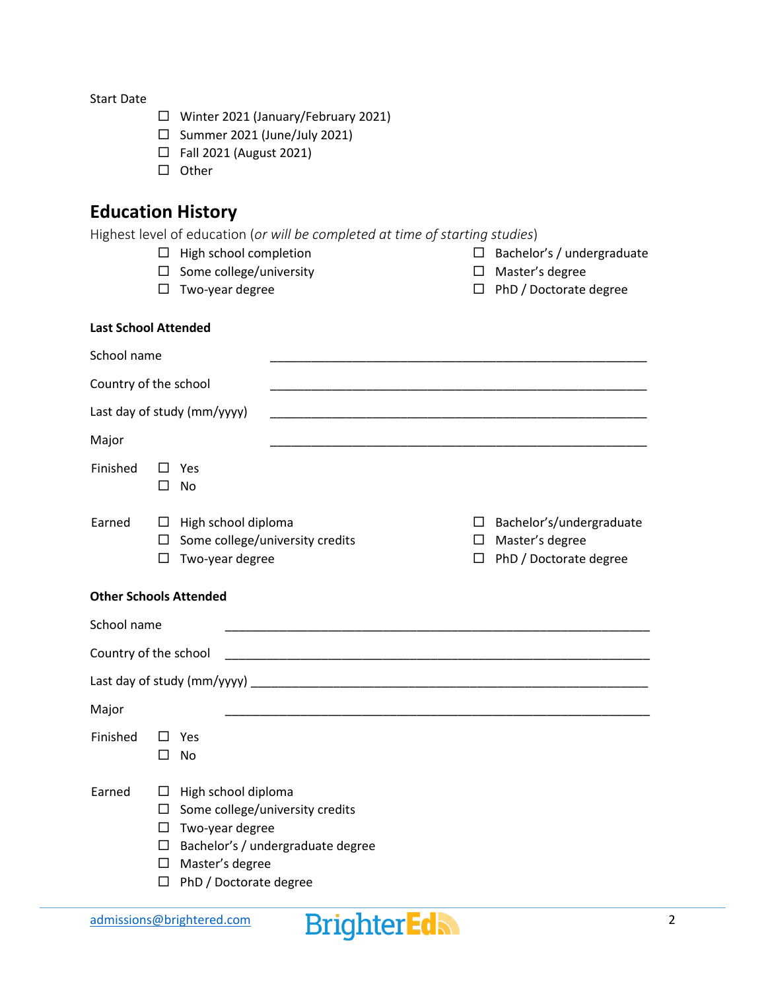Start Date

- Winter 2021 (January/February 2021)
- $\square$  Summer 2021 (June/July 2021)
- □ Fall 2021 (August 2021)
- $\square$  Other

## **Education History**

Highest level of education (*or will be completed at time of starting studies*)

- $\Box$  High school completion
- $\square$  Some college/university
- $\square$  Two-year degree
- $\Box$  Bachelor's / undergraduate  $\Box$  Master's degree
- $\Box$  PhD / Doctorate degree

#### **Last School Attended**

| School name                   |                                      |                                                                                                                        |                                                                                                                       |             |                                                                       |
|-------------------------------|--------------------------------------|------------------------------------------------------------------------------------------------------------------------|-----------------------------------------------------------------------------------------------------------------------|-------------|-----------------------------------------------------------------------|
| Country of the school         |                                      |                                                                                                                        |                                                                                                                       |             |                                                                       |
|                               |                                      | Last day of study (mm/yyyy)                                                                                            |                                                                                                                       |             | <u> 1989 - Johann John Stone, mars eta biztanleria (h. 1989).</u>     |
| Major                         |                                      |                                                                                                                        |                                                                                                                       |             |                                                                       |
| Finished                      |                                      | Yes<br><b>No</b>                                                                                                       |                                                                                                                       |             |                                                                       |
| Earned                        | ⊔<br>ш<br>ш                          | High school diploma<br>Some college/university credits<br>Two-year degree                                              |                                                                                                                       | □<br>□<br>□ | Bachelor's/undergraduate<br>Master's degree<br>PhD / Doctorate degree |
| <b>Other Schools Attended</b> |                                      |                                                                                                                        |                                                                                                                       |             |                                                                       |
| School name                   |                                      |                                                                                                                        | <u> 1980 - Johann John Stein, markin fan it ferskearre fan it ferskearre fan it ferskearre fan it ferskearre fan </u> |             |                                                                       |
| Country of the school         |                                      |                                                                                                                        |                                                                                                                       |             |                                                                       |
|                               |                                      |                                                                                                                        |                                                                                                                       |             |                                                                       |
| Major                         |                                      |                                                                                                                        |                                                                                                                       |             |                                                                       |
| Finished                      | ш                                    | Yes<br>No                                                                                                              |                                                                                                                       |             |                                                                       |
| Earned                        | ப<br>ப<br>$\Box$<br>$\Box$<br>□<br>□ | High school diploma<br>Some college/university credits<br>Two-year degree<br>Master's degree<br>PhD / Doctorate degree | Bachelor's / undergraduate degree                                                                                     |             |                                                                       |

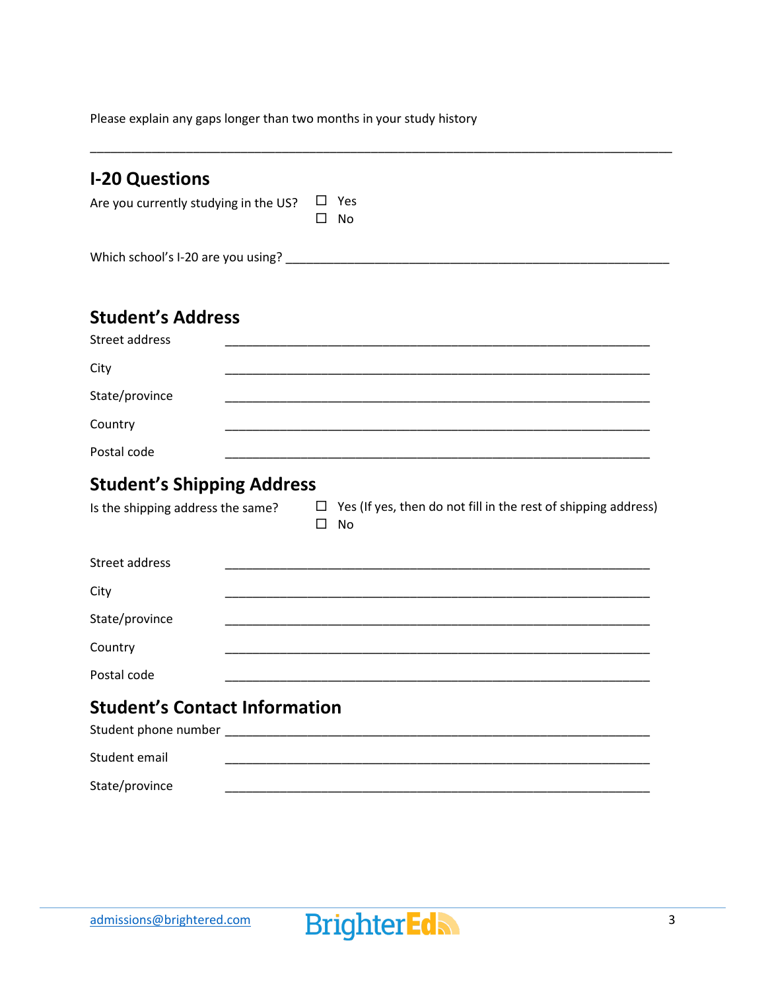Please explain any gaps longer than two months in your study history

| <b>I-20 Questions</b>                                                                                                        |  |
|------------------------------------------------------------------------------------------------------------------------------|--|
| Yes<br>Are you currently studying in the US?<br><b>No</b>                                                                    |  |
|                                                                                                                              |  |
|                                                                                                                              |  |
| <b>Student's Address</b><br><b>Street address</b>                                                                            |  |
| City                                                                                                                         |  |
| State/province                                                                                                               |  |
| Country                                                                                                                      |  |
| Postal code                                                                                                                  |  |
| <b>Student's Shipping Address</b>                                                                                            |  |
|                                                                                                                              |  |
| $\Box$ Yes (If yes, then do not fill in the rest of shipping address)<br>Is the shipping address the same?<br><b>No</b><br>П |  |
| <b>Street address</b>                                                                                                        |  |
| City                                                                                                                         |  |
| State/province                                                                                                               |  |
| Country                                                                                                                      |  |
| Postal code                                                                                                                  |  |
| <b>Student's Contact Information</b>                                                                                         |  |
| Student email                                                                                                                |  |

\_\_\_\_\_\_\_\_\_\_\_\_\_\_\_\_\_\_\_\_\_\_\_\_\_\_\_\_\_\_\_\_\_\_\_\_\_\_\_\_\_\_\_\_\_\_\_\_\_\_\_\_\_\_\_\_\_\_\_\_\_\_\_\_\_\_\_\_\_\_\_\_\_\_\_\_\_\_\_\_\_\_\_\_\_